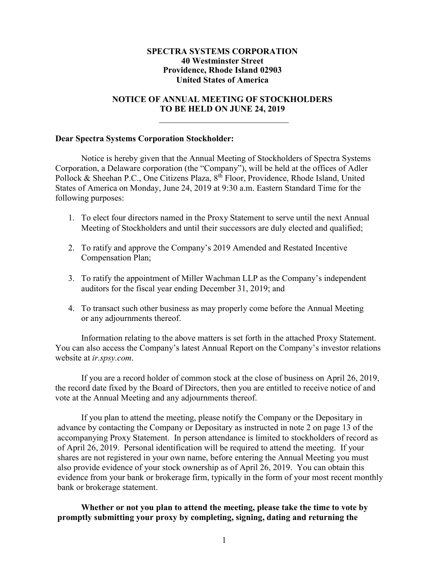## SPECTRA SYSTEMS CORPORATION 40 Westminster Street Providence, Rhode Island 02903 United States of America

## NOTICE OF ANNUAL MEETING OF STOCKHOLDERS TO BE HELD ON JUNE 24, 2019

## Dear Spectra Systems Corporation Stockholder:

 $\mathcal{L}_\text{max}$  and  $\mathcal{L}_\text{max}$  and  $\mathcal{L}_\text{max}$  and  $\mathcal{L}_\text{max}$  and  $\mathcal{L}_\text{max}$ 

 Notice is hereby given that the Annual Meeting of Stockholders of Spectra Systems Corporation, a Delaware corporation (the "Company"), will be held at the offices of Adler Pollock & Sheehan P.C., One Citizens Plaza, 8<sup>th</sup> Floor, Providence, Rhode Island, United States of America on Monday, June 24, 2019 at 9:30 a.m. Eastern Standard Time for the following purposes:

- 1. To elect four directors named in the Proxy Statement to serve until the next Annual Meeting of Stockholders and until their successors are duly elected and qualified;
- 2. To ratify and approve the Company's 2019 Amended and Restated Incentive Compensation Plan;
- 3. To ratify the appointment of Miller Wachman LLP as the Company's independent auditors for the fiscal year ending December 31, 2019; and
- 4. To transact such other business as may properly come before the Annual Meeting or any adjournments thereof.

 Information relating to the above matters is set forth in the attached Proxy Statement. You can also access the Company's latest Annual Report on the Company's investor relations website at ir.spsy.com.

 If you are a record holder of common stock at the close of business on April 26, 2019, the record date fixed by the Board of Directors, then you are entitled to receive notice of and vote at the Annual Meeting and any adjournments thereof.

 If you plan to attend the meeting, please notify the Company or the Depositary in advance by contacting the Company or Depositary as instructed in note 2 on page 13 of the accompanying Proxy Statement. In person attendance is limited to stockholders of record as of April 26, 2019. Personal identification will be required to attend the meeting. If your shares are not registered in your own name, before entering the Annual Meeting you must also provide evidence of your stock ownership as of April 26, 2019. You can obtain this evidence from your bank or brokerage firm, typically in the form of your most recent monthly bank or brokerage statement.

Whether or not you plan to attend the meeting, please take the time to vote by promptly submitting your proxy by completing, signing, dating and returning the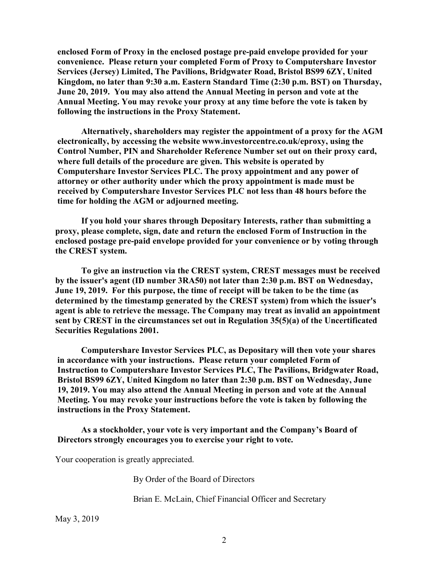enclosed Form of Proxy in the enclosed postage pre-paid envelope provided for your convenience. Please return your completed Form of Proxy to Computershare Investor Services (Jersey) Limited, The Pavilions, Bridgwater Road, Bristol BS99 6ZY, United Kingdom, no later than 9:30 a.m. Eastern Standard Time (2:30 p.m. BST) on Thursday, June 20, 2019. You may also attend the Annual Meeting in person and vote at the Annual Meeting. You may revoke your proxy at any time before the vote is taken by following the instructions in the Proxy Statement.

 Alternatively, shareholders may register the appointment of a proxy for the AGM electronically, by accessing the website www.investorcentre.co.uk/eproxy, using the Control Number, PIN and Shareholder Reference Number set out on their proxy card, where full details of the procedure are given. This website is operated by Computershare Investor Services PLC. The proxy appointment and any power of attorney or other authority under which the proxy appointment is made must be received by Computershare Investor Services PLC not less than 48 hours before the time for holding the AGM or adjourned meeting.

 If you hold your shares through Depositary Interests, rather than submitting a proxy, please complete, sign, date and return the enclosed Form of Instruction in the enclosed postage pre-paid envelope provided for your convenience or by voting through the CREST system.

 To give an instruction via the CREST system, CREST messages must be received by the issuer's agent (ID number 3RA50) not later than 2:30 p.m. BST on Wednesday, June 19, 2019. For this purpose, the time of receipt will be taken to be the time (as determined by the timestamp generated by the CREST system) from which the issuer's agent is able to retrieve the message. The Company may treat as invalid an appointment sent by CREST in the circumstances set out in Regulation 35(5)(a) of the Uncertificated Securities Regulations 2001.

 Computershare Investor Services PLC, as Depositary will then vote your shares in accordance with your instructions. Please return your completed Form of Instruction to Computershare Investor Services PLC, The Pavilions, Bridgwater Road, Bristol BS99 6ZY, United Kingdom no later than 2:30 p.m. BST on Wednesday, June 19, 2019. You may also attend the Annual Meeting in person and vote at the Annual Meeting. You may revoke your instructions before the vote is taken by following the instructions in the Proxy Statement.

 As a stockholder, your vote is very important and the Company's Board of Directors strongly encourages you to exercise your right to vote.

Your cooperation is greatly appreciated.

By Order of the Board of Directors

Brian E. McLain, Chief Financial Officer and Secretary

May 3, 2019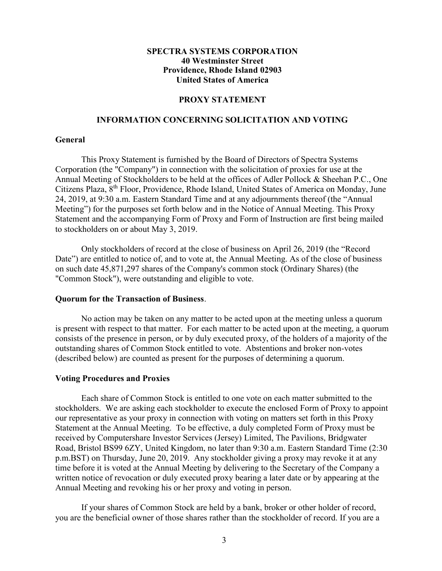## SPECTRA SYSTEMS CORPORATION 40 Westminster Street Providence, Rhode Island 02903 United States of America

## PROXY STATEMENT

#### INFORMATION CONCERNING SOLICITATION AND VOTING

## General

 This Proxy Statement is furnished by the Board of Directors of Spectra Systems Corporation (the "Company") in connection with the solicitation of proxies for use at the Annual Meeting of Stockholders to be held at the offices of Adler Pollock & Sheehan P.C., One Citizens Plaza, 8th Floor, Providence, Rhode Island, United States of America on Monday, June 24, 2019, at 9:30 a.m. Eastern Standard Time and at any adjournments thereof (the "Annual Meeting") for the purposes set forth below and in the Notice of Annual Meeting. This Proxy Statement and the accompanying Form of Proxy and Form of Instruction are first being mailed to stockholders on or about May 3, 2019.

 Only stockholders of record at the close of business on April 26, 2019 (the "Record Date") are entitled to notice of, and to vote at, the Annual Meeting. As of the close of business on such date 45,871,297 shares of the Company's common stock (Ordinary Shares) (the "Common Stock"), were outstanding and eligible to vote.

#### Quorum for the Transaction of Business.

 No action may be taken on any matter to be acted upon at the meeting unless a quorum is present with respect to that matter. For each matter to be acted upon at the meeting, a quorum consists of the presence in person, or by duly executed proxy, of the holders of a majority of the outstanding shares of Common Stock entitled to vote. Abstentions and broker non-votes (described below) are counted as present for the purposes of determining a quorum.

#### Voting Procedures and Proxies

 Each share of Common Stock is entitled to one vote on each matter submitted to the stockholders. We are asking each stockholder to execute the enclosed Form of Proxy to appoint our representative as your proxy in connection with voting on matters set forth in this Proxy Statement at the Annual Meeting. To be effective, a duly completed Form of Proxy must be received by Computershare Investor Services (Jersey) Limited, The Pavilions, Bridgwater Road, Bristol BS99 6ZY, United Kingdom, no later than 9:30 a.m. Eastern Standard Time (2:30 p.m.BST) on Thursday, June 20, 2019. Any stockholder giving a proxy may revoke it at any time before it is voted at the Annual Meeting by delivering to the Secretary of the Company a written notice of revocation or duly executed proxy bearing a later date or by appearing at the Annual Meeting and revoking his or her proxy and voting in person.

 If your shares of Common Stock are held by a bank, broker or other holder of record, you are the beneficial owner of those shares rather than the stockholder of record. If you are a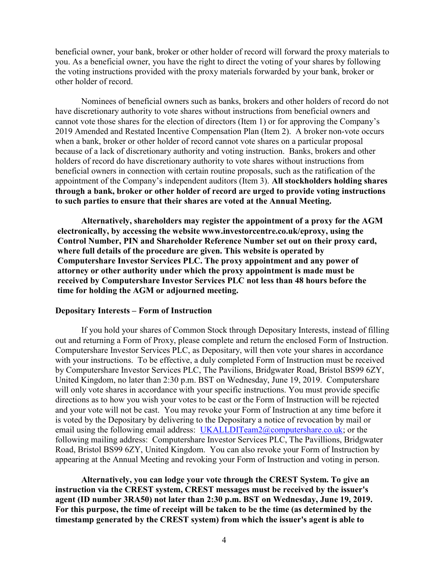beneficial owner, your bank, broker or other holder of record will forward the proxy materials to you. As a beneficial owner, you have the right to direct the voting of your shares by following the voting instructions provided with the proxy materials forwarded by your bank, broker or other holder of record.

 Nominees of beneficial owners such as banks, brokers and other holders of record do not have discretionary authority to vote shares without instructions from beneficial owners and cannot vote those shares for the election of directors (Item 1) or for approving the Company's 2019 Amended and Restated Incentive Compensation Plan (Item 2). A broker non-vote occurs when a bank, broker or other holder of record cannot vote shares on a particular proposal because of a lack of discretionary authority and voting instruction. Banks, brokers and other holders of record do have discretionary authority to vote shares without instructions from beneficial owners in connection with certain routine proposals, such as the ratification of the appointment of the Company's independent auditors (Item 3). All stockholders holding shares through a bank, broker or other holder of record are urged to provide voting instructions to such parties to ensure that their shares are voted at the Annual Meeting.

 Alternatively, shareholders may register the appointment of a proxy for the AGM electronically, by accessing the website www.investorcentre.co.uk/eproxy, using the Control Number, PIN and Shareholder Reference Number set out on their proxy card, where full details of the procedure are given. This website is operated by Computershare Investor Services PLC. The proxy appointment and any power of attorney or other authority under which the proxy appointment is made must be received by Computershare Investor Services PLC not less than 48 hours before the time for holding the AGM or adjourned meeting.

#### Depositary Interests – Form of Instruction

 If you hold your shares of Common Stock through Depositary Interests, instead of filling out and returning a Form of Proxy, please complete and return the enclosed Form of Instruction. Computershare Investor Services PLC, as Depositary, will then vote your shares in accordance with your instructions. To be effective, a duly completed Form of Instruction must be received by Computershare Investor Services PLC, The Pavilions, Bridgwater Road, Bristol BS99 6ZY, United Kingdom, no later than 2:30 p.m. BST on Wednesday, June 19, 2019. Computershare will only vote shares in accordance with your specific instructions. You must provide specific directions as to how you wish your votes to be cast or the Form of Instruction will be rejected and your vote will not be cast. You may revoke your Form of Instruction at any time before it is voted by the Depositary by delivering to the Depositary a notice of revocation by mail or email using the following email address: UKALLDITeam2@computershare.co.uk; or the following mailing address: Computershare Investor Services PLC, The Pavillions, Bridgwater Road, Bristol BS99 6ZY, United Kingdom. You can also revoke your Form of Instruction by appearing at the Annual Meeting and revoking your Form of Instruction and voting in person.

 Alternatively, you can lodge your vote through the CREST System. To give an instruction via the CREST system, CREST messages must be received by the issuer's agent (ID number 3RA50) not later than 2:30 p.m. BST on Wednesday, June 19, 2019. For this purpose, the time of receipt will be taken to be the time (as determined by the timestamp generated by the CREST system) from which the issuer's agent is able to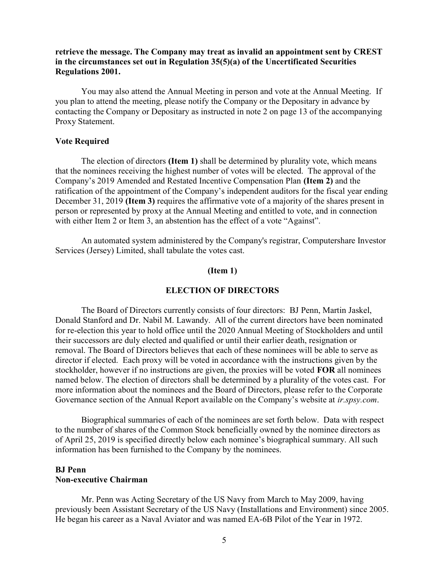## retrieve the message. The Company may treat as invalid an appointment sent by CREST in the circumstances set out in Regulation 35(5)(a) of the Uncertificated Securities Regulations 2001.

 You may also attend the Annual Meeting in person and vote at the Annual Meeting. If you plan to attend the meeting, please notify the Company or the Depositary in advance by contacting the Company or Depositary as instructed in note 2 on page 13 of the accompanying Proxy Statement.

#### Vote Required

The election of directors (Item 1) shall be determined by plurality vote, which means that the nominees receiving the highest number of votes will be elected. The approval of the Company's 2019 Amended and Restated Incentive Compensation Plan (Item 2) and the ratification of the appointment of the Company's independent auditors for the fiscal year ending December 31, 2019 (Item 3) requires the affirmative vote of a majority of the shares present in person or represented by proxy at the Annual Meeting and entitled to vote, and in connection with either Item 2 or Item 3, an abstention has the effect of a vote "Against".

 An automated system administered by the Company's registrar, Computershare Investor Services (Jersey) Limited, shall tabulate the votes cast.

#### (Item 1)

## ELECTION OF DIRECTORS

 The Board of Directors currently consists of four directors: BJ Penn, Martin Jaskel, Donald Stanford and Dr. Nabil M. Lawandy. All of the current directors have been nominated for re-election this year to hold office until the 2020 Annual Meeting of Stockholders and until their successors are duly elected and qualified or until their earlier death, resignation or removal. The Board of Directors believes that each of these nominees will be able to serve as director if elected. Each proxy will be voted in accordance with the instructions given by the stockholder, however if no instructions are given, the proxies will be voted FOR all nominees named below. The election of directors shall be determined by a plurality of the votes cast. For more information about the nominees and the Board of Directors, please refer to the Corporate Governance section of the Annual Report available on the Company's website at *ir.spsy.com*.

 Biographical summaries of each of the nominees are set forth below. Data with respect to the number of shares of the Common Stock beneficially owned by the nominee directors as of April 25, 2019 is specified directly below each nominee's biographical summary. All such information has been furnished to the Company by the nominees.

## BJ Penn Non-executive Chairman

 Mr. Penn was Acting Secretary of the US Navy from March to May 2009, having previously been Assistant Secretary of the US Navy (Installations and Environment) since 2005. He began his career as a Naval Aviator and was named EA-6B Pilot of the Year in 1972.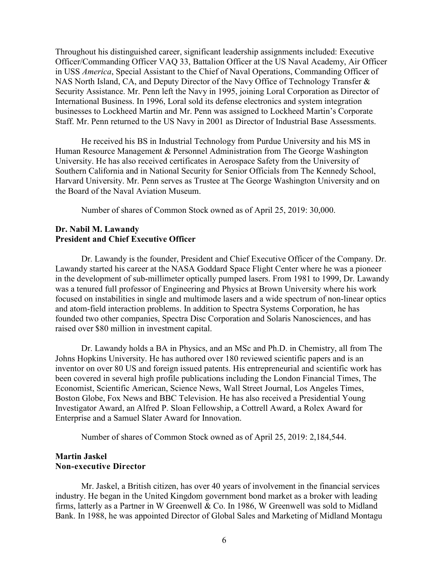Throughout his distinguished career, significant leadership assignments included: Executive Officer/Commanding Officer VAQ 33, Battalion Officer at the US Naval Academy, Air Officer in USS America, Special Assistant to the Chief of Naval Operations, Commanding Officer of NAS North Island, CA, and Deputy Director of the Navy Office of Technology Transfer & Security Assistance. Mr. Penn left the Navy in 1995, joining Loral Corporation as Director of International Business. In 1996, Loral sold its defense electronics and system integration businesses to Lockheed Martin and Mr. Penn was assigned to Lockheed Martin's Corporate Staff. Mr. Penn returned to the US Navy in 2001 as Director of Industrial Base Assessments.

He received his BS in Industrial Technology from Purdue University and his MS in Human Resource Management & Personnel Administration from The George Washington University. He has also received certificates in Aerospace Safety from the University of Southern California and in National Security for Senior Officials from The Kennedy School, Harvard University. Mr. Penn serves as Trustee at The George Washington University and on the Board of the Naval Aviation Museum.

Number of shares of Common Stock owned as of April 25, 2019: 30,000.

## Dr. Nabil M. Lawandy President and Chief Executive Officer

 Dr. Lawandy is the founder, President and Chief Executive Officer of the Company. Dr. Lawandy started his career at the NASA Goddard Space Flight Center where he was a pioneer in the development of sub-millimeter optically pumped lasers. From 1981 to 1999, Dr. Lawandy was a tenured full professor of Engineering and Physics at Brown University where his work focused on instabilities in single and multimode lasers and a wide spectrum of non-linear optics and atom-field interaction problems. In addition to Spectra Systems Corporation, he has founded two other companies, Spectra Disc Corporation and Solaris Nanosciences, and has raised over \$80 million in investment capital.

Dr. Lawandy holds a BA in Physics, and an MSc and Ph.D. in Chemistry, all from The Johns Hopkins University. He has authored over 180 reviewed scientific papers and is an inventor on over 80 US and foreign issued patents. His entrepreneurial and scientific work has been covered in several high profile publications including the London Financial Times, The Economist, Scientific American, Science News, Wall Street Journal, Los Angeles Times, Boston Globe, Fox News and BBC Television. He has also received a Presidential Young Investigator Award, an Alfred P. Sloan Fellowship, a Cottrell Award, a Rolex Award for Enterprise and a Samuel Slater Award for Innovation.

Number of shares of Common Stock owned as of April 25, 2019: 2,184,544.

## Martin Jaskel Non-executive Director

 Mr. Jaskel, a British citizen, has over 40 years of involvement in the financial services industry. He began in the United Kingdom government bond market as a broker with leading firms, latterly as a Partner in W Greenwell & Co. In 1986, W Greenwell was sold to Midland Bank. In 1988, he was appointed Director of Global Sales and Marketing of Midland Montagu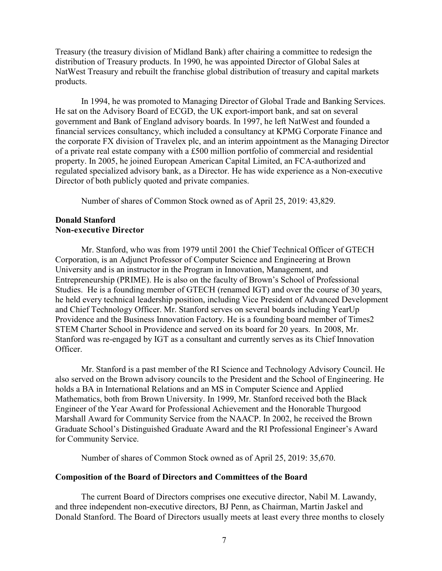Treasury (the treasury division of Midland Bank) after chairing a committee to redesign the distribution of Treasury products. In 1990, he was appointed Director of Global Sales at NatWest Treasury and rebuilt the franchise global distribution of treasury and capital markets products.

In 1994, he was promoted to Managing Director of Global Trade and Banking Services. He sat on the Advisory Board of ECGD, the UK export-import bank, and sat on several government and Bank of England advisory boards. In 1997, he left NatWest and founded a financial services consultancy, which included a consultancy at KPMG Corporate Finance and the corporate FX division of Travelex plc, and an interim appointment as the Managing Director of a private real estate company with a £500 million portfolio of commercial and residential property. In 2005, he joined European American Capital Limited, an FCA-authorized and regulated specialized advisory bank, as a Director. He has wide experience as a Non-executive Director of both publicly quoted and private companies.

Number of shares of Common Stock owned as of April 25, 2019: 43,829.

## Donald Stanford Non-executive Director

 Mr. Stanford, who was from 1979 until 2001 the Chief Technical Officer of GTECH Corporation, is an Adjunct Professor of Computer Science and Engineering at Brown University and is an instructor in the Program in Innovation, Management, and Entrepreneurship (PRIME). He is also on the faculty of Brown's School of Professional Studies. He is a founding member of GTECH (renamed IGT) and over the course of 30 years, he held every technical leadership position, including Vice President of Advanced Development and Chief Technology Officer. Mr. Stanford serves on several boards including YearUp Providence and the Business Innovation Factory. He is a founding board member of Times2 STEM Charter School in Providence and served on its board for 20 years. In 2008, Mr. Stanford was re-engaged by IGT as a consultant and currently serves as its Chief Innovation Officer.

Mr. Stanford is a past member of the RI Science and Technology Advisory Council. He also served on the Brown advisory councils to the President and the School of Engineering. He holds a BA in International Relations and an MS in Computer Science and Applied Mathematics, both from Brown University. In 1999, Mr. Stanford received both the Black Engineer of the Year Award for Professional Achievement and the Honorable Thurgood Marshall Award for Community Service from the NAACP. In 2002, he received the Brown Graduate School's Distinguished Graduate Award and the RI Professional Engineer's Award for Community Service.

Number of shares of Common Stock owned as of April 25, 2019: 35,670.

## Composition of the Board of Directors and Committees of the Board

The current Board of Directors comprises one executive director, Nabil M. Lawandy, and three independent non-executive directors, BJ Penn, as Chairman, Martin Jaskel and Donald Stanford. The Board of Directors usually meets at least every three months to closely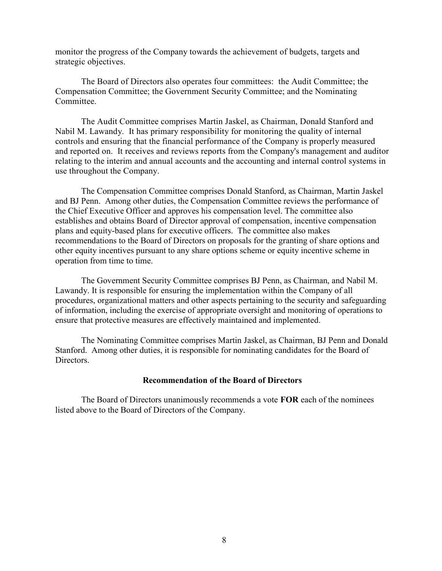monitor the progress of the Company towards the achievement of budgets, targets and strategic objectives.

The Board of Directors also operates four committees: the Audit Committee; the Compensation Committee; the Government Security Committee; and the Nominating Committee.

The Audit Committee comprises Martin Jaskel, as Chairman, Donald Stanford and Nabil M. Lawandy. It has primary responsibility for monitoring the quality of internal controls and ensuring that the financial performance of the Company is properly measured and reported on. It receives and reviews reports from the Company's management and auditor relating to the interim and annual accounts and the accounting and internal control systems in use throughout the Company.

The Compensation Committee comprises Donald Stanford, as Chairman, Martin Jaskel and BJ Penn. Among other duties, the Compensation Committee reviews the performance of the Chief Executive Officer and approves his compensation level. The committee also establishes and obtains Board of Director approval of compensation, incentive compensation plans and equity-based plans for executive officers. The committee also makes recommendations to the Board of Directors on proposals for the granting of share options and other equity incentives pursuant to any share options scheme or equity incentive scheme in operation from time to time.

The Government Security Committee comprises BJ Penn, as Chairman, and Nabil M. Lawandy. It is responsible for ensuring the implementation within the Company of all procedures, organizational matters and other aspects pertaining to the security and safeguarding of information, including the exercise of appropriate oversight and monitoring of operations to ensure that protective measures are effectively maintained and implemented.

The Nominating Committee comprises Martin Jaskel, as Chairman, BJ Penn and Donald Stanford. Among other duties, it is responsible for nominating candidates for the Board of Directors.

#### Recommendation of the Board of Directors

The Board of Directors unanimously recommends a vote FOR each of the nominees listed above to the Board of Directors of the Company.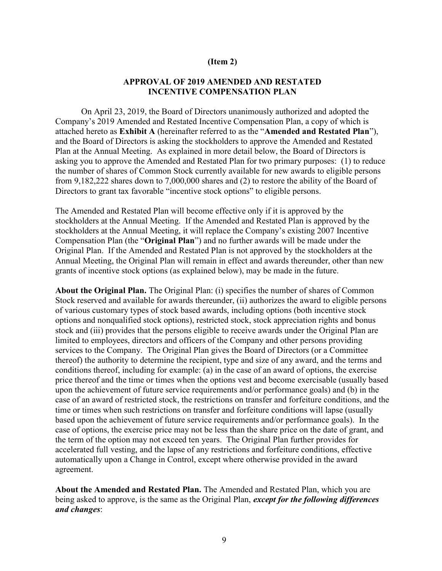## (Item 2)

## APPROVAL OF 2019 AMENDED AND RESTATED INCENTIVE COMPENSATION PLAN

On April 23, 2019, the Board of Directors unanimously authorized and adopted the Company's 2019 Amended and Restated Incentive Compensation Plan, a copy of which is attached hereto as Exhibit A (hereinafter referred to as the "Amended and Restated Plan"), and the Board of Directors is asking the stockholders to approve the Amended and Restated Plan at the Annual Meeting. As explained in more detail below, the Board of Directors is asking you to approve the Amended and Restated Plan for two primary purposes: (1) to reduce the number of shares of Common Stock currently available for new awards to eligible persons from 9,182,222 shares down to 7,000,000 shares and (2) to restore the ability of the Board of Directors to grant tax favorable "incentive stock options" to eligible persons.

The Amended and Restated Plan will become effective only if it is approved by the stockholders at the Annual Meeting. If the Amended and Restated Plan is approved by the stockholders at the Annual Meeting, it will replace the Company's existing 2007 Incentive Compensation Plan (the "Original Plan") and no further awards will be made under the Original Plan. If the Amended and Restated Plan is not approved by the stockholders at the Annual Meeting, the Original Plan will remain in effect and awards thereunder, other than new grants of incentive stock options (as explained below), may be made in the future.

About the Original Plan. The Original Plan: (i) specifies the number of shares of Common Stock reserved and available for awards thereunder, (ii) authorizes the award to eligible persons of various customary types of stock based awards, including options (both incentive stock options and nonqualified stock options), restricted stock, stock appreciation rights and bonus stock and (iii) provides that the persons eligible to receive awards under the Original Plan are limited to employees, directors and officers of the Company and other persons providing services to the Company. The Original Plan gives the Board of Directors (or a Committee thereof) the authority to determine the recipient, type and size of any award, and the terms and conditions thereof, including for example: (a) in the case of an award of options, the exercise price thereof and the time or times when the options vest and become exercisable (usually based upon the achievement of future service requirements and/or performance goals) and (b) in the case of an award of restricted stock, the restrictions on transfer and forfeiture conditions, and the time or times when such restrictions on transfer and forfeiture conditions will lapse (usually based upon the achievement of future service requirements and/or performance goals). In the case of options, the exercise price may not be less than the share price on the date of grant, and the term of the option may not exceed ten years. The Original Plan further provides for accelerated full vesting, and the lapse of any restrictions and forfeiture conditions, effective automatically upon a Change in Control, except where otherwise provided in the award agreement.

About the Amended and Restated Plan. The Amended and Restated Plan, which you are being asked to approve, is the same as the Original Plan, except for the following differences and changes: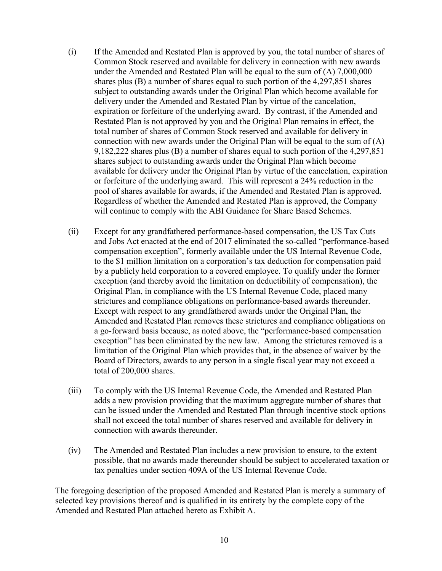- (i) If the Amended and Restated Plan is approved by you, the total number of shares of Common Stock reserved and available for delivery in connection with new awards under the Amended and Restated Plan will be equal to the sum of  $(A)$  7,000,000 shares plus (B) a number of shares equal to such portion of the 4,297,851 shares subject to outstanding awards under the Original Plan which become available for delivery under the Amended and Restated Plan by virtue of the cancelation, expiration or forfeiture of the underlying award. By contrast, if the Amended and Restated Plan is not approved by you and the Original Plan remains in effect, the total number of shares of Common Stock reserved and available for delivery in connection with new awards under the Original Plan will be equal to the sum of  $(A)$ 9,182,222 shares plus (B) a number of shares equal to such portion of the 4,297,851 shares subject to outstanding awards under the Original Plan which become available for delivery under the Original Plan by virtue of the cancelation, expiration or forfeiture of the underlying award. This will represent a 24% reduction in the pool of shares available for awards, if the Amended and Restated Plan is approved. Regardless of whether the Amended and Restated Plan is approved, the Company will continue to comply with the ABI Guidance for Share Based Schemes.
- (ii) Except for any grandfathered performance-based compensation, the US Tax Cuts and Jobs Act enacted at the end of 2017 eliminated the so-called "performance-based compensation exception", formerly available under the US Internal Revenue Code, to the \$1 million limitation on a corporation's tax deduction for compensation paid by a publicly held corporation to a covered employee. To qualify under the former exception (and thereby avoid the limitation on deductibility of compensation), the Original Plan, in compliance with the US Internal Revenue Code, placed many strictures and compliance obligations on performance-based awards thereunder. Except with respect to any grandfathered awards under the Original Plan, the Amended and Restated Plan removes these strictures and compliance obligations on a go-forward basis because, as noted above, the "performance-based compensation exception" has been eliminated by the new law. Among the strictures removed is a limitation of the Original Plan which provides that, in the absence of waiver by the Board of Directors, awards to any person in a single fiscal year may not exceed a total of 200,000 shares.
- (iii) To comply with the US Internal Revenue Code, the Amended and Restated Plan adds a new provision providing that the maximum aggregate number of shares that can be issued under the Amended and Restated Plan through incentive stock options shall not exceed the total number of shares reserved and available for delivery in connection with awards thereunder.
- (iv) The Amended and Restated Plan includes a new provision to ensure, to the extent possible, that no awards made thereunder should be subject to accelerated taxation or tax penalties under section 409A of the US Internal Revenue Code.

The foregoing description of the proposed Amended and Restated Plan is merely a summary of selected key provisions thereof and is qualified in its entirety by the complete copy of the Amended and Restated Plan attached hereto as Exhibit A.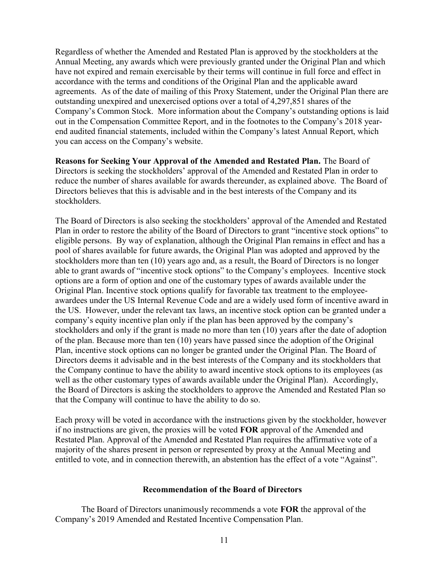Regardless of whether the Amended and Restated Plan is approved by the stockholders at the Annual Meeting, any awards which were previously granted under the Original Plan and which have not expired and remain exercisable by their terms will continue in full force and effect in accordance with the terms and conditions of the Original Plan and the applicable award agreements. As of the date of mailing of this Proxy Statement, under the Original Plan there are outstanding unexpired and unexercised options over a total of 4,297,851 shares of the Company's Common Stock. More information about the Company's outstanding options is laid out in the Compensation Committee Report, and in the footnotes to the Company's 2018 yearend audited financial statements, included within the Company's latest Annual Report, which you can access on the Company's website.

Reasons for Seeking Your Approval of the Amended and Restated Plan. The Board of Directors is seeking the stockholders' approval of the Amended and Restated Plan in order to reduce the number of shares available for awards thereunder, as explained above. The Board of Directors believes that this is advisable and in the best interests of the Company and its stockholders.

The Board of Directors is also seeking the stockholders' approval of the Amended and Restated Plan in order to restore the ability of the Board of Directors to grant "incentive stock options" to eligible persons. By way of explanation, although the Original Plan remains in effect and has a pool of shares available for future awards, the Original Plan was adopted and approved by the stockholders more than ten (10) years ago and, as a result, the Board of Directors is no longer able to grant awards of "incentive stock options" to the Company's employees. Incentive stock options are a form of option and one of the customary types of awards available under the Original Plan. Incentive stock options qualify for favorable tax treatment to the employeeawardees under the US Internal Revenue Code and are a widely used form of incentive award in the US. However, under the relevant tax laws, an incentive stock option can be granted under a company's equity incentive plan only if the plan has been approved by the company's stockholders and only if the grant is made no more than ten (10) years after the date of adoption of the plan. Because more than ten (10) years have passed since the adoption of the Original Plan, incentive stock options can no longer be granted under the Original Plan. The Board of Directors deems it advisable and in the best interests of the Company and its stockholders that the Company continue to have the ability to award incentive stock options to its employees (as well as the other customary types of awards available under the Original Plan). Accordingly, the Board of Directors is asking the stockholders to approve the Amended and Restated Plan so that the Company will continue to have the ability to do so.

Each proxy will be voted in accordance with the instructions given by the stockholder, however if no instructions are given, the proxies will be voted FOR approval of the Amended and Restated Plan. Approval of the Amended and Restated Plan requires the affirmative vote of a majority of the shares present in person or represented by proxy at the Annual Meeting and entitled to vote, and in connection therewith, an abstention has the effect of a vote "Against".

#### Recommendation of the Board of Directors

 The Board of Directors unanimously recommends a vote FOR the approval of the Company's 2019 Amended and Restated Incentive Compensation Plan.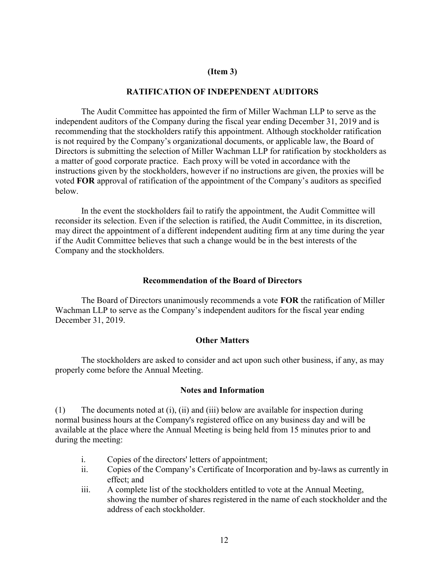#### (Item 3)

#### RATIFICATION OF INDEPENDENT AUDITORS

 The Audit Committee has appointed the firm of Miller Wachman LLP to serve as the independent auditors of the Company during the fiscal year ending December 31, 2019 and is recommending that the stockholders ratify this appointment. Although stockholder ratification is not required by the Company's organizational documents, or applicable law, the Board of Directors is submitting the selection of Miller Wachman LLP for ratification by stockholders as a matter of good corporate practice. Each proxy will be voted in accordance with the instructions given by the stockholders, however if no instructions are given, the proxies will be voted FOR approval of ratification of the appointment of the Company's auditors as specified below.

 In the event the stockholders fail to ratify the appointment, the Audit Committee will reconsider its selection. Even if the selection is ratified, the Audit Committee, in its discretion, may direct the appointment of a different independent auditing firm at any time during the year if the Audit Committee believes that such a change would be in the best interests of the Company and the stockholders.

#### Recommendation of the Board of Directors

The Board of Directors unanimously recommends a vote **FOR** the ratification of Miller Wachman LLP to serve as the Company's independent auditors for the fiscal year ending December 31, 2019.

#### Other Matters

 The stockholders are asked to consider and act upon such other business, if any, as may properly come before the Annual Meeting.

#### Notes and Information

(1) The documents noted at (i), (ii) and (iii) below are available for inspection during normal business hours at the Company's registered office on any business day and will be available at the place where the Annual Meeting is being held from 15 minutes prior to and during the meeting:

- i. Copies of the directors' letters of appointment;
- ii. Copies of the Company's Certificate of Incorporation and by-laws as currently in effect; and
- iii. A complete list of the stockholders entitled to vote at the Annual Meeting, showing the number of shares registered in the name of each stockholder and the address of each stockholder.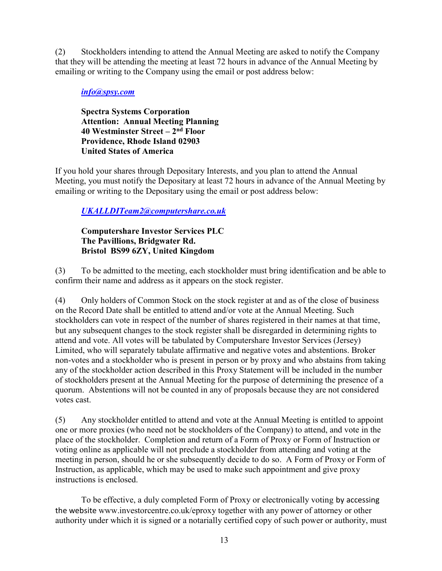(2) Stockholders intending to attend the Annual Meeting are asked to notify the Company that they will be attending the meeting at least 72 hours in advance of the Annual Meeting by emailing or writing to the Company using the email or post address below:

## info@spsy.com

Spectra Systems Corporation Attention: Annual Meeting Planning 40 Westminster Street  $-2<sup>n\overline{d}</sup>$  Floor Providence, Rhode Island 02903 United States of America

If you hold your shares through Depositary Interests, and you plan to attend the Annual Meeting, you must notify the Depositary at least 72 hours in advance of the Annual Meeting by emailing or writing to the Depositary using the email or post address below:

# UKALLDITeam2@computershare.co.uk

 Computershare Investor Services PLC The Pavillions, Bridgwater Rd. Bristol BS99 6ZY, United Kingdom

(3) To be admitted to the meeting, each stockholder must bring identification and be able to confirm their name and address as it appears on the stock register.

(4) Only holders of Common Stock on the stock register at and as of the close of business on the Record Date shall be entitled to attend and/or vote at the Annual Meeting. Such stockholders can vote in respect of the number of shares registered in their names at that time, but any subsequent changes to the stock register shall be disregarded in determining rights to attend and vote. All votes will be tabulated by Computershare Investor Services (Jersey) Limited, who will separately tabulate affirmative and negative votes and abstentions. Broker non-votes and a stockholder who is present in person or by proxy and who abstains from taking any of the stockholder action described in this Proxy Statement will be included in the number of stockholders present at the Annual Meeting for the purpose of determining the presence of a quorum. Abstentions will not be counted in any of proposals because they are not considered votes cast.

(5) Any stockholder entitled to attend and vote at the Annual Meeting is entitled to appoint one or more proxies (who need not be stockholders of the Company) to attend, and vote in the place of the stockholder. Completion and return of a Form of Proxy or Form of Instruction or voting online as applicable will not preclude a stockholder from attending and voting at the meeting in person, should he or she subsequently decide to do so. A Form of Proxy or Form of Instruction, as applicable, which may be used to make such appointment and give proxy instructions is enclosed.

 To be effective, a duly completed Form of Proxy or electronically voting by accessing the website www.investorcentre.co.uk/eproxy together with any power of attorney or other authority under which it is signed or a notarially certified copy of such power or authority, must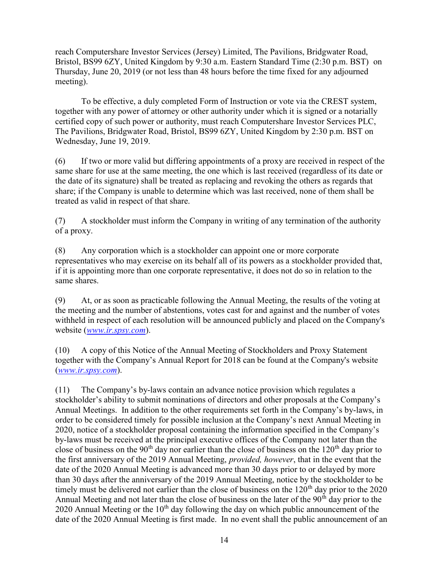reach Computershare Investor Services (Jersey) Limited, The Pavilions, Bridgwater Road, Bristol, BS99 6ZY, United Kingdom by 9:30 a.m. Eastern Standard Time (2:30 p.m. BST) on Thursday, June 20, 2019 (or not less than 48 hours before the time fixed for any adjourned meeting).

 To be effective, a duly completed Form of Instruction or vote via the CREST system, together with any power of attorney or other authority under which it is signed or a notarially certified copy of such power or authority, must reach Computershare Investor Services PLC, The Pavilions, Bridgwater Road, Bristol, BS99 6ZY, United Kingdom by 2:30 p.m. BST on Wednesday, June 19, 2019.

(6) If two or more valid but differing appointments of a proxy are received in respect of the same share for use at the same meeting, the one which is last received (regardless of its date or the date of its signature) shall be treated as replacing and revoking the others as regards that share; if the Company is unable to determine which was last received, none of them shall be treated as valid in respect of that share.

(7) A stockholder must inform the Company in writing of any termination of the authority of a proxy.

(8) Any corporation which is a stockholder can appoint one or more corporate representatives who may exercise on its behalf all of its powers as a stockholder provided that, if it is appointing more than one corporate representative, it does not do so in relation to the same shares.

(9) At, or as soon as practicable following the Annual Meeting, the results of the voting at the meeting and the number of abstentions, votes cast for and against and the number of votes withheld in respect of each resolution will be announced publicly and placed on the Company's website (www.ir.spsy.com).

(10) A copy of this Notice of the Annual Meeting of Stockholders and Proxy Statement together with the Company's Annual Report for 2018 can be found at the Company's website (www.ir.spsy.com).

(11) The Company's by-laws contain an advance notice provision which regulates a stockholder's ability to submit nominations of directors and other proposals at the Company's Annual Meetings. In addition to the other requirements set forth in the Company's by-laws, in order to be considered timely for possible inclusion at the Company's next Annual Meeting in 2020, notice of a stockholder proposal containing the information specified in the Company's by-laws must be received at the principal executive offices of the Company not later than the close of business on the  $90<sup>th</sup>$  day nor earlier than the close of business on the  $120<sup>th</sup>$  day prior to the first anniversary of the 2019 Annual Meeting, provided, however, that in the event that the date of the 2020 Annual Meeting is advanced more than 30 days prior to or delayed by more than 30 days after the anniversary of the 2019 Annual Meeting, notice by the stockholder to be timely must be delivered not earlier than the close of business on the  $120<sup>th</sup>$  day prior to the 2020 Annual Meeting and not later than the close of business on the later of the  $90<sup>th</sup>$  day prior to the 2020 Annual Meeting or the  $10<sup>th</sup>$  day following the day on which public announcement of the date of the 2020 Annual Meeting is first made. In no event shall the public announcement of an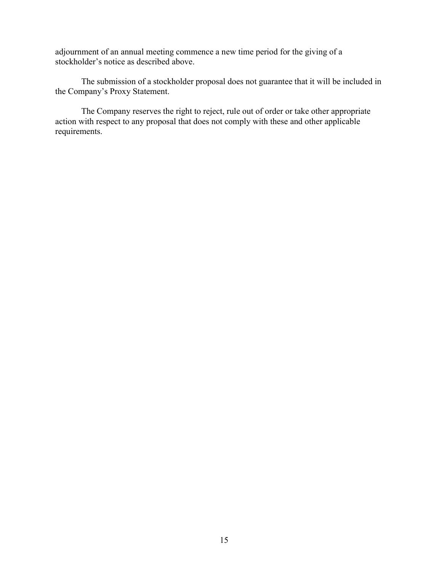adjournment of an annual meeting commence a new time period for the giving of a stockholder's notice as described above.

 The submission of a stockholder proposal does not guarantee that it will be included in the Company's Proxy Statement.

 The Company reserves the right to reject, rule out of order or take other appropriate action with respect to any proposal that does not comply with these and other applicable requirements.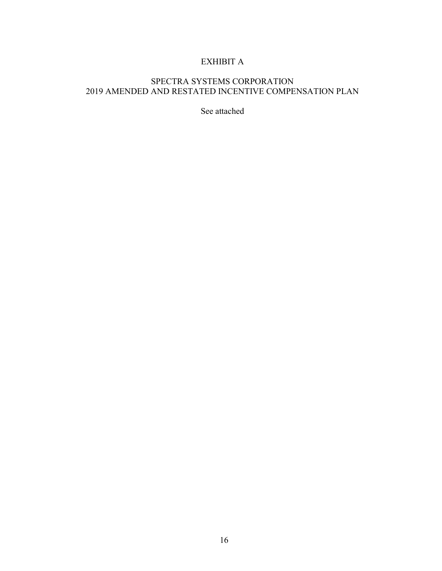# EXHIBIT A

# SPECTRA SYSTEMS CORPORATION 2019 AMENDED AND RESTATED INCENTIVE COMPENSATION PLAN

See attached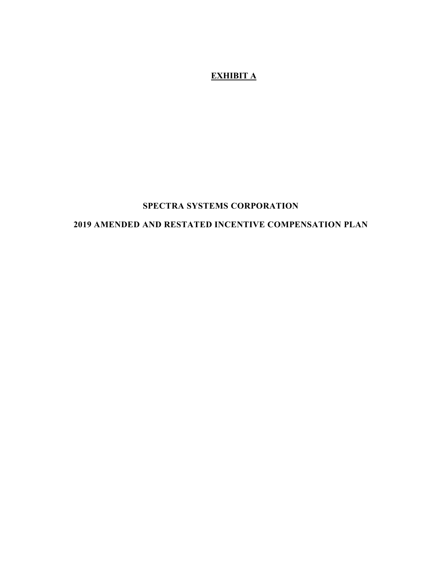# EXHIBIT A

# SPECTRA SYSTEMS CORPORATION

# 2019 AMENDED AND RESTATED INCENTIVE COMPENSATION PLAN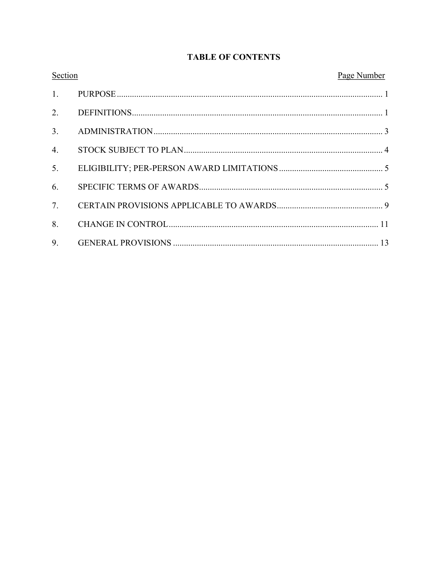| Section | Page Number |
|---------|-------------|
|         |             |
|         |             |
| 3.      |             |
| 4.      |             |
| 5.      |             |
| 6.      |             |
| 7.      |             |
| 8.      |             |
| 9.      |             |

# **TABLE OF CONTENTS**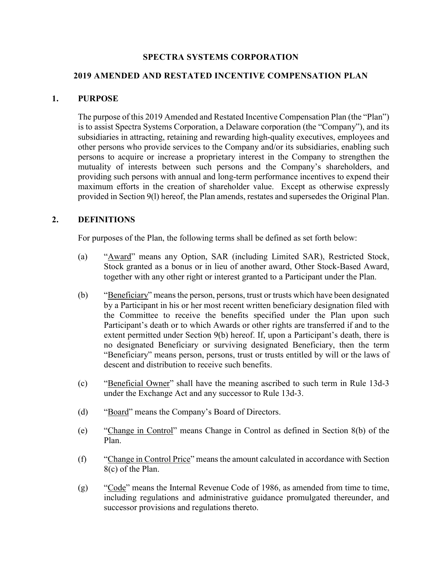# SPECTRA SYSTEMS CORPORATION

## 2019 AMENDED AND RESTATED INCENTIVE COMPENSATION PLAN

## 1. PURPOSE

The purpose of this 2019 Amended and Restated Incentive Compensation Plan (the "Plan") is to assist Spectra Systems Corporation, a Delaware corporation (the "Company"), and its subsidiaries in attracting, retaining and rewarding high-quality executives, employees and other persons who provide services to the Company and/or its subsidiaries, enabling such persons to acquire or increase a proprietary interest in the Company to strengthen the mutuality of interests between such persons and the Company's shareholders, and providing such persons with annual and long-term performance incentives to expend their maximum efforts in the creation of shareholder value. Except as otherwise expressly provided in Section 9(l) hereof, the Plan amends, restates and supersedes the Original Plan.

## 2. DEFINITIONS

For purposes of the Plan, the following terms shall be defined as set forth below:

- (a) "Award" means any Option, SAR (including Limited SAR), Restricted Stock, Stock granted as a bonus or in lieu of another award, Other Stock-Based Award, together with any other right or interest granted to a Participant under the Plan.
- (b) "Beneficiary" means the person, persons, trust or trusts which have been designated by a Participant in his or her most recent written beneficiary designation filed with the Committee to receive the benefits specified under the Plan upon such Participant's death or to which Awards or other rights are transferred if and to the extent permitted under Section 9(b) hereof. If, upon a Participant's death, there is no designated Beneficiary or surviving designated Beneficiary, then the term "Beneficiary" means person, persons, trust or trusts entitled by will or the laws of descent and distribution to receive such benefits.
- (c) "Beneficial Owner" shall have the meaning ascribed to such term in Rule 13d-3 under the Exchange Act and any successor to Rule 13d-3.
- (d) "Board" means the Company's Board of Directors.
- (e) "Change in Control" means Change in Control as defined in Section 8(b) of the Plan.
- (f) "Change in Control Price" means the amount calculated in accordance with Section 8(c) of the Plan.
- (g) "Code" means the Internal Revenue Code of 1986, as amended from time to time, including regulations and administrative guidance promulgated thereunder, and successor provisions and regulations thereto.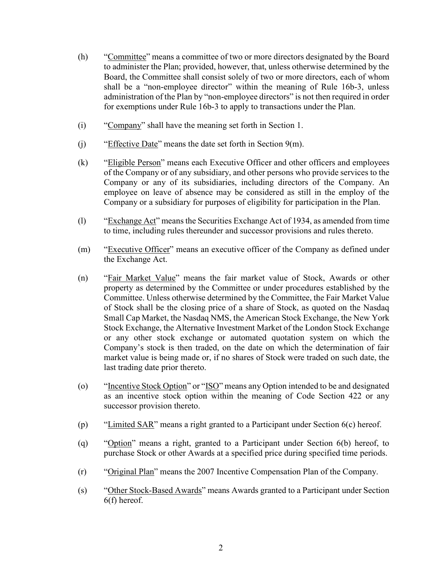- (h) "Committee" means a committee of two or more directors designated by the Board to administer the Plan; provided, however, that, unless otherwise determined by the Board, the Committee shall consist solely of two or more directors, each of whom shall be a "non-employee director" within the meaning of Rule 16b-3, unless administration of the Plan by "non-employee directors" is not then required in order for exemptions under Rule 16b-3 to apply to transactions under the Plan.
- (i) "Company" shall have the meaning set forth in Section 1.
- (i) "Effective Date" means the date set forth in Section  $9(m)$ .
- (k) "Eligible Person" means each Executive Officer and other officers and employees of the Company or of any subsidiary, and other persons who provide services to the Company or any of its subsidiaries, including directors of the Company. An employee on leave of absence may be considered as still in the employ of the Company or a subsidiary for purposes of eligibility for participation in the Plan.
- (l) "Exchange Act" means the Securities Exchange Act of 1934, as amended from time to time, including rules thereunder and successor provisions and rules thereto.
- (m) "Executive Officer" means an executive officer of the Company as defined under the Exchange Act.
- (n) "Fair Market Value" means the fair market value of Stock, Awards or other property as determined by the Committee or under procedures established by the Committee. Unless otherwise determined by the Committee, the Fair Market Value of Stock shall be the closing price of a share of Stock, as quoted on the Nasdaq Small Cap Market, the Nasdaq NMS, the American Stock Exchange, the New York Stock Exchange, the Alternative Investment Market of the London Stock Exchange or any other stock exchange or automated quotation system on which the Company's stock is then traded, on the date on which the determination of fair market value is being made or, if no shares of Stock were traded on such date, the last trading date prior thereto.
- (o) "Incentive Stock Option" or "ISO" means any Option intended to be and designated as an incentive stock option within the meaning of Code Section 422 or any successor provision thereto.
- (p) "Limited SAR" means a right granted to a Participant under Section 6(c) hereof.
- (q) "Option" means a right, granted to a Participant under Section 6(b) hereof, to purchase Stock or other Awards at a specified price during specified time periods.
- (r) "Original Plan" means the 2007 Incentive Compensation Plan of the Company.
- (s) "Other Stock-Based Awards" means Awards granted to a Participant under Section 6(f) hereof.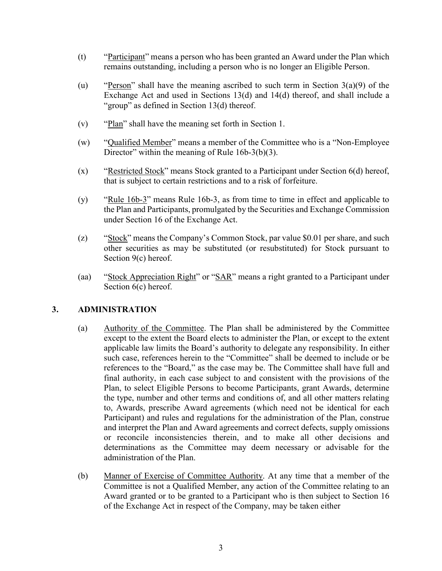- (t) "Participant" means a person who has been granted an Award under the Plan which remains outstanding, including a person who is no longer an Eligible Person.
- (u) "Person" shall have the meaning ascribed to such term in Section 3(a)(9) of the Exchange Act and used in Sections 13(d) and 14(d) thereof, and shall include a "group" as defined in Section 13(d) thereof.
- (v) "Plan" shall have the meaning set forth in Section 1.
- (w) "Qualified Member" means a member of the Committee who is a "Non-Employee Director" within the meaning of Rule 16b-3(b)(3).
- (x) "Restricted Stock" means Stock granted to a Participant under Section 6(d) hereof, that is subject to certain restrictions and to a risk of forfeiture.
- (y) "Rule 16b-3" means Rule 16b-3, as from time to time in effect and applicable to the Plan and Participants, promulgated by the Securities and Exchange Commission under Section 16 of the Exchange Act.
- (z) "Stock" means the Company's Common Stock, par value \$0.01 per share, and such other securities as may be substituted (or resubstituted) for Stock pursuant to Section 9(c) hereof.
- (aa) "Stock Appreciation Right" or "SAR" means a right granted to a Participant under Section  $6(c)$  hereof.

# 3. ADMINISTRATION

- (a) Authority of the Committee. The Plan shall be administered by the Committee except to the extent the Board elects to administer the Plan, or except to the extent applicable law limits the Board's authority to delegate any responsibility. In either such case, references herein to the "Committee" shall be deemed to include or be references to the "Board," as the case may be. The Committee shall have full and final authority, in each case subject to and consistent with the provisions of the Plan, to select Eligible Persons to become Participants, grant Awards, determine the type, number and other terms and conditions of, and all other matters relating to, Awards, prescribe Award agreements (which need not be identical for each Participant) and rules and regulations for the administration of the Plan, construe and interpret the Plan and Award agreements and correct defects, supply omissions or reconcile inconsistencies therein, and to make all other decisions and determinations as the Committee may deem necessary or advisable for the administration of the Plan.
- (b) Manner of Exercise of Committee Authority. At any time that a member of the Committee is not a Qualified Member, any action of the Committee relating to an Award granted or to be granted to a Participant who is then subject to Section 16 of the Exchange Act in respect of the Company, may be taken either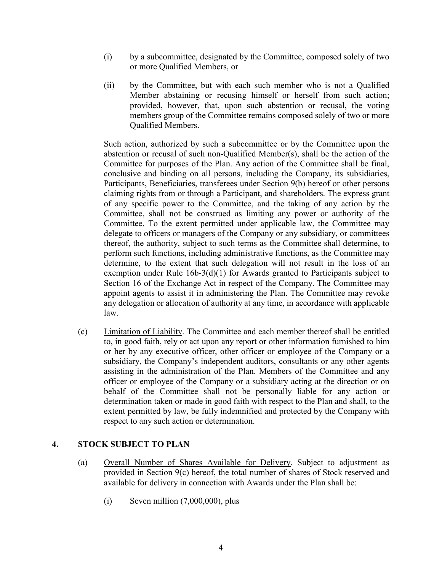- (i) by a subcommittee, designated by the Committee, composed solely of two or more Qualified Members, or
- (ii) by the Committee, but with each such member who is not a Qualified Member abstaining or recusing himself or herself from such action; provided, however, that, upon such abstention or recusal, the voting members group of the Committee remains composed solely of two or more Qualified Members.

Such action, authorized by such a subcommittee or by the Committee upon the abstention or recusal of such non-Qualified Member(s), shall be the action of the Committee for purposes of the Plan. Any action of the Committee shall be final, conclusive and binding on all persons, including the Company, its subsidiaries, Participants, Beneficiaries, transferees under Section 9(b) hereof or other persons claiming rights from or through a Participant, and shareholders. The express grant of any specific power to the Committee, and the taking of any action by the Committee, shall not be construed as limiting any power or authority of the Committee. To the extent permitted under applicable law, the Committee may delegate to officers or managers of the Company or any subsidiary, or committees thereof, the authority, subject to such terms as the Committee shall determine, to perform such functions, including administrative functions, as the Committee may determine, to the extent that such delegation will not result in the loss of an exemption under Rule 16b-3(d)(1) for Awards granted to Participants subject to Section 16 of the Exchange Act in respect of the Company. The Committee may appoint agents to assist it in administering the Plan. The Committee may revoke any delegation or allocation of authority at any time, in accordance with applicable law.

(c) Limitation of Liability. The Committee and each member thereof shall be entitled to, in good faith, rely or act upon any report or other information furnished to him or her by any executive officer, other officer or employee of the Company or a subsidiary, the Company's independent auditors, consultants or any other agents assisting in the administration of the Plan. Members of the Committee and any officer or employee of the Company or a subsidiary acting at the direction or on behalf of the Committee shall not be personally liable for any action or determination taken or made in good faith with respect to the Plan and shall, to the extent permitted by law, be fully indemnified and protected by the Company with respect to any such action or determination.

# 4. STOCK SUBJECT TO PLAN

- (a) Overall Number of Shares Available for Delivery. Subject to adjustment as provided in Section 9(c) hereof, the total number of shares of Stock reserved and available for delivery in connection with Awards under the Plan shall be:
	- (i) Seven million  $(7,000,000)$ , plus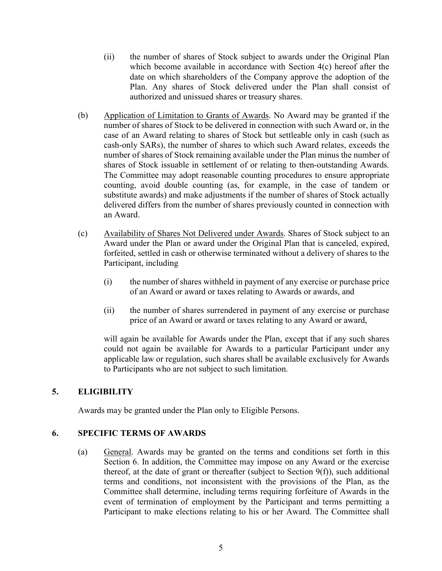- (ii) the number of shares of Stock subject to awards under the Original Plan which become available in accordance with Section 4(c) hereof after the date on which shareholders of the Company approve the adoption of the Plan. Any shares of Stock delivered under the Plan shall consist of authorized and unissued shares or treasury shares.
- (b) Application of Limitation to Grants of Awards. No Award may be granted if the number of shares of Stock to be delivered in connection with such Award or, in the case of an Award relating to shares of Stock but settleable only in cash (such as cash-only SARs), the number of shares to which such Award relates, exceeds the number of shares of Stock remaining available under the Plan minus the number of shares of Stock issuable in settlement of or relating to then-outstanding Awards. The Committee may adopt reasonable counting procedures to ensure appropriate counting, avoid double counting (as, for example, in the case of tandem or substitute awards) and make adjustments if the number of shares of Stock actually delivered differs from the number of shares previously counted in connection with an Award.
- (c) Availability of Shares Not Delivered under Awards. Shares of Stock subject to an Award under the Plan or award under the Original Plan that is canceled, expired, forfeited, settled in cash or otherwise terminated without a delivery of shares to the Participant, including
	- (i) the number of shares withheld in payment of any exercise or purchase price of an Award or award or taxes relating to Awards or awards, and
	- (ii) the number of shares surrendered in payment of any exercise or purchase price of an Award or award or taxes relating to any Award or award,

will again be available for Awards under the Plan, except that if any such shares could not again be available for Awards to a particular Participant under any applicable law or regulation, such shares shall be available exclusively for Awards to Participants who are not subject to such limitation.

# 5. ELIGIBILITY

Awards may be granted under the Plan only to Eligible Persons.

## 6. SPECIFIC TERMS OF AWARDS

(a) General. Awards may be granted on the terms and conditions set forth in this Section 6. In addition, the Committee may impose on any Award or the exercise thereof, at the date of grant or thereafter (subject to Section 9(f)), such additional terms and conditions, not inconsistent with the provisions of the Plan, as the Committee shall determine, including terms requiring forfeiture of Awards in the event of termination of employment by the Participant and terms permitting a Participant to make elections relating to his or her Award. The Committee shall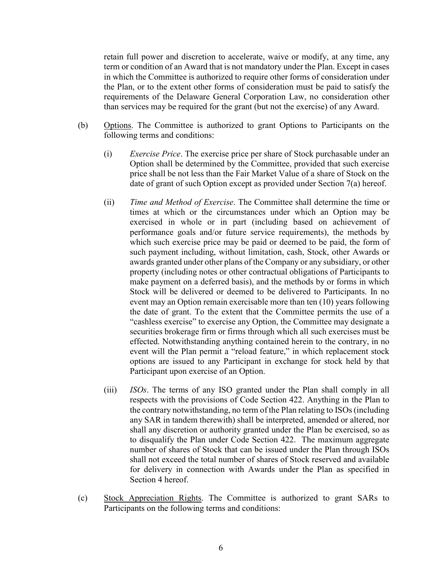retain full power and discretion to accelerate, waive or modify, at any time, any term or condition of an Award that is not mandatory under the Plan. Except in cases in which the Committee is authorized to require other forms of consideration under the Plan, or to the extent other forms of consideration must be paid to satisfy the requirements of the Delaware General Corporation Law, no consideration other than services may be required for the grant (but not the exercise) of any Award.

- (b) Options. The Committee is authorized to grant Options to Participants on the following terms and conditions:
	- (i) Exercise Price. The exercise price per share of Stock purchasable under an Option shall be determined by the Committee, provided that such exercise price shall be not less than the Fair Market Value of a share of Stock on the date of grant of such Option except as provided under Section 7(a) hereof.
	- (ii) Time and Method of Exercise. The Committee shall determine the time or times at which or the circumstances under which an Option may be exercised in whole or in part (including based on achievement of performance goals and/or future service requirements), the methods by which such exercise price may be paid or deemed to be paid, the form of such payment including, without limitation, cash, Stock, other Awards or awards granted under other plans of the Company or any subsidiary, or other property (including notes or other contractual obligations of Participants to make payment on a deferred basis), and the methods by or forms in which Stock will be delivered or deemed to be delivered to Participants. In no event may an Option remain exercisable more than ten (10) years following the date of grant. To the extent that the Committee permits the use of a "cashless exercise" to exercise any Option, the Committee may designate a securities brokerage firm or firms through which all such exercises must be effected. Notwithstanding anything contained herein to the contrary, in no event will the Plan permit a "reload feature," in which replacement stock options are issued to any Participant in exchange for stock held by that Participant upon exercise of an Option.
	- (iii) ISOs. The terms of any ISO granted under the Plan shall comply in all respects with the provisions of Code Section 422. Anything in the Plan to the contrary notwithstanding, no term of the Plan relating to ISOs (including any SAR in tandem therewith) shall be interpreted, amended or altered, nor shall any discretion or authority granted under the Plan be exercised, so as to disqualify the Plan under Code Section 422. The maximum aggregate number of shares of Stock that can be issued under the Plan through ISOs shall not exceed the total number of shares of Stock reserved and available for delivery in connection with Awards under the Plan as specified in Section 4 hereof.
- (c) Stock Appreciation Rights. The Committee is authorized to grant SARs to Participants on the following terms and conditions: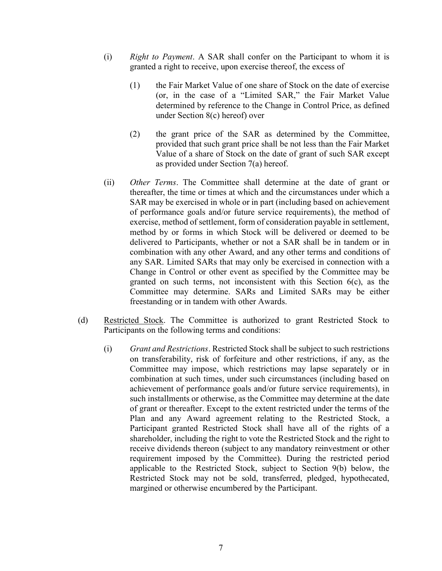- (i) Right to Payment. A SAR shall confer on the Participant to whom it is granted a right to receive, upon exercise thereof, the excess of
	- (1) the Fair Market Value of one share of Stock on the date of exercise (or, in the case of a "Limited SAR," the Fair Market Value determined by reference to the Change in Control Price, as defined under Section 8(c) hereof) over
	- (2) the grant price of the SAR as determined by the Committee, provided that such grant price shall be not less than the Fair Market Value of a share of Stock on the date of grant of such SAR except as provided under Section 7(a) hereof.
- (ii) Other Terms. The Committee shall determine at the date of grant or thereafter, the time or times at which and the circumstances under which a SAR may be exercised in whole or in part (including based on achievement of performance goals and/or future service requirements), the method of exercise, method of settlement, form of consideration payable in settlement, method by or forms in which Stock will be delivered or deemed to be delivered to Participants, whether or not a SAR shall be in tandem or in combination with any other Award, and any other terms and conditions of any SAR. Limited SARs that may only be exercised in connection with a Change in Control or other event as specified by the Committee may be granted on such terms, not inconsistent with this Section 6(c), as the Committee may determine. SARs and Limited SARs may be either freestanding or in tandem with other Awards.
- (d) Restricted Stock. The Committee is authorized to grant Restricted Stock to Participants on the following terms and conditions:
	- (i) Grant and Restrictions. Restricted Stock shall be subject to such restrictions on transferability, risk of forfeiture and other restrictions, if any, as the Committee may impose, which restrictions may lapse separately or in combination at such times, under such circumstances (including based on achievement of performance goals and/or future service requirements), in such installments or otherwise, as the Committee may determine at the date of grant or thereafter. Except to the extent restricted under the terms of the Plan and any Award agreement relating to the Restricted Stock, a Participant granted Restricted Stock shall have all of the rights of a shareholder, including the right to vote the Restricted Stock and the right to receive dividends thereon (subject to any mandatory reinvestment or other requirement imposed by the Committee). During the restricted period applicable to the Restricted Stock, subject to Section 9(b) below, the Restricted Stock may not be sold, transferred, pledged, hypothecated, margined or otherwise encumbered by the Participant.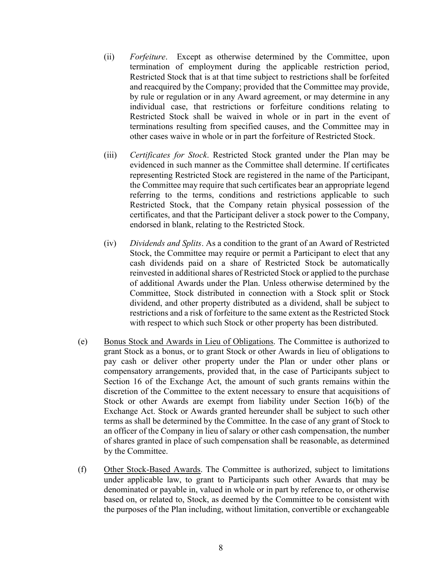- (ii) Forfeiture. Except as otherwise determined by the Committee, upon termination of employment during the applicable restriction period, Restricted Stock that is at that time subject to restrictions shall be forfeited and reacquired by the Company; provided that the Committee may provide, by rule or regulation or in any Award agreement, or may determine in any individual case, that restrictions or forfeiture conditions relating to Restricted Stock shall be waived in whole or in part in the event of terminations resulting from specified causes, and the Committee may in other cases waive in whole or in part the forfeiture of Restricted Stock.
- (iii) Certificates for Stock. Restricted Stock granted under the Plan may be evidenced in such manner as the Committee shall determine. If certificates representing Restricted Stock are registered in the name of the Participant, the Committee may require that such certificates bear an appropriate legend referring to the terms, conditions and restrictions applicable to such Restricted Stock, that the Company retain physical possession of the certificates, and that the Participant deliver a stock power to the Company, endorsed in blank, relating to the Restricted Stock.
- (iv) Dividends and Splits. As a condition to the grant of an Award of Restricted Stock, the Committee may require or permit a Participant to elect that any cash dividends paid on a share of Restricted Stock be automatically reinvested in additional shares of Restricted Stock or applied to the purchase of additional Awards under the Plan. Unless otherwise determined by the Committee, Stock distributed in connection with a Stock split or Stock dividend, and other property distributed as a dividend, shall be subject to restrictions and a risk of forfeiture to the same extent as the Restricted Stock with respect to which such Stock or other property has been distributed.
- (e) Bonus Stock and Awards in Lieu of Obligations. The Committee is authorized to grant Stock as a bonus, or to grant Stock or other Awards in lieu of obligations to pay cash or deliver other property under the Plan or under other plans or compensatory arrangements, provided that, in the case of Participants subject to Section 16 of the Exchange Act, the amount of such grants remains within the discretion of the Committee to the extent necessary to ensure that acquisitions of Stock or other Awards are exempt from liability under Section 16(b) of the Exchange Act. Stock or Awards granted hereunder shall be subject to such other terms as shall be determined by the Committee. In the case of any grant of Stock to an officer of the Company in lieu of salary or other cash compensation, the number of shares granted in place of such compensation shall be reasonable, as determined by the Committee.
- (f) Other Stock-Based Awards. The Committee is authorized, subject to limitations under applicable law, to grant to Participants such other Awards that may be denominated or payable in, valued in whole or in part by reference to, or otherwise based on, or related to, Stock, as deemed by the Committee to be consistent with the purposes of the Plan including, without limitation, convertible or exchangeable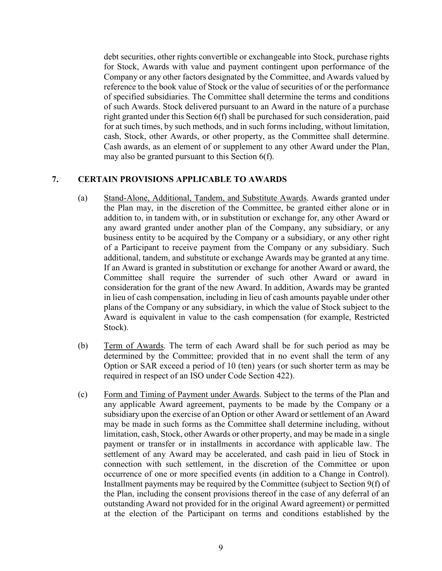debt securities, other rights convertible or exchangeable into Stock, purchase rights for Stock, Awards with value and payment contingent upon performance of the Company or any other factors designated by the Committee, and Awards valued by reference to the book value of Stock or the value of securities of or the performance of specified subsidiaries. The Committee shall determine the terms and conditions of such Awards. Stock delivered pursuant to an Award in the nature of a purchase right granted under this Section 6(f) shall be purchased for such consideration, paid for at such times, by such methods, and in such forms including, without limitation, cash, Stock, other Awards, or other property, as the Committee shall determine. Cash awards, as an element of or supplement to any other Award under the Plan, may also be granted pursuant to this Section 6(f).

## 7. CERTAIN PROVISIONS APPLICABLE TO AWARDS

- (a) Stand-Alone, Additional, Tandem, and Substitute Awards. Awards granted under the Plan may, in the discretion of the Committee, be granted either alone or in addition to, in tandem with, or in substitution or exchange for, any other Award or any award granted under another plan of the Company, any subsidiary, or any business entity to be acquired by the Company or a subsidiary, or any other right of a Participant to receive payment from the Company or any subsidiary. Such additional, tandem, and substitute or exchange Awards may be granted at any time. If an Award is granted in substitution or exchange for another Award or award, the Committee shall require the surrender of such other Award or award in consideration for the grant of the new Award. In addition, Awards may be granted in lieu of cash compensation, including in lieu of cash amounts payable under other plans of the Company or any subsidiary, in which the value of Stock subject to the Award is equivalent in value to the cash compensation (for example, Restricted Stock).
- (b) Term of Awards. The term of each Award shall be for such period as may be determined by the Committee; provided that in no event shall the term of any Option or SAR exceed a period of 10 (ten) years (or such shorter term as may be required in respect of an ISO under Code Section 422).
- (c) Form and Timing of Payment under Awards. Subject to the terms of the Plan and any applicable Award agreement, payments to be made by the Company or a subsidiary upon the exercise of an Option or other Award or settlement of an Award may be made in such forms as the Committee shall determine including, without limitation, cash, Stock, other Awards or other property, and may be made in a single payment or transfer or in installments in accordance with applicable law. The settlement of any Award may be accelerated, and cash paid in lieu of Stock in connection with such settlement, in the discretion of the Committee or upon occurrence of one or more specified events (in addition to a Change in Control). Installment payments may be required by the Committee (subject to Section 9(f) of the Plan, including the consent provisions thereof in the case of any deferral of an outstanding Award not provided for in the original Award agreement) or permitted at the election of the Participant on terms and conditions established by the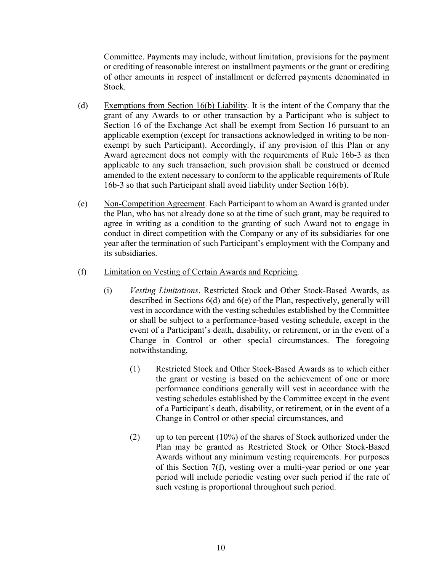Committee. Payments may include, without limitation, provisions for the payment or crediting of reasonable interest on installment payments or the grant or crediting of other amounts in respect of installment or deferred payments denominated in Stock.

- (d) Exemptions from Section 16(b) Liability. It is the intent of the Company that the grant of any Awards to or other transaction by a Participant who is subject to Section 16 of the Exchange Act shall be exempt from Section 16 pursuant to an applicable exemption (except for transactions acknowledged in writing to be nonexempt by such Participant). Accordingly, if any provision of this Plan or any Award agreement does not comply with the requirements of Rule 16b-3 as then applicable to any such transaction, such provision shall be construed or deemed amended to the extent necessary to conform to the applicable requirements of Rule 16b-3 so that such Participant shall avoid liability under Section 16(b).
- (e) Non-Competition Agreement. Each Participant to whom an Award is granted under the Plan, who has not already done so at the time of such grant, may be required to agree in writing as a condition to the granting of such Award not to engage in conduct in direct competition with the Company or any of its subsidiaries for one year after the termination of such Participant's employment with the Company and its subsidiaries.
- (f) Limitation on Vesting of Certain Awards and Repricing.
	- (i) Vesting Limitations. Restricted Stock and Other Stock-Based Awards, as described in Sections 6(d) and 6(e) of the Plan, respectively, generally will vest in accordance with the vesting schedules established by the Committee or shall be subject to a performance-based vesting schedule, except in the event of a Participant's death, disability, or retirement, or in the event of a Change in Control or other special circumstances. The foregoing notwithstanding,
		- (1) Restricted Stock and Other Stock-Based Awards as to which either the grant or vesting is based on the achievement of one or more performance conditions generally will vest in accordance with the vesting schedules established by the Committee except in the event of a Participant's death, disability, or retirement, or in the event of a Change in Control or other special circumstances, and
		- (2) up to ten percent  $(10\%)$  of the shares of Stock authorized under the Plan may be granted as Restricted Stock or Other Stock-Based Awards without any minimum vesting requirements. For purposes of this Section 7(f), vesting over a multi-year period or one year period will include periodic vesting over such period if the rate of such vesting is proportional throughout such period.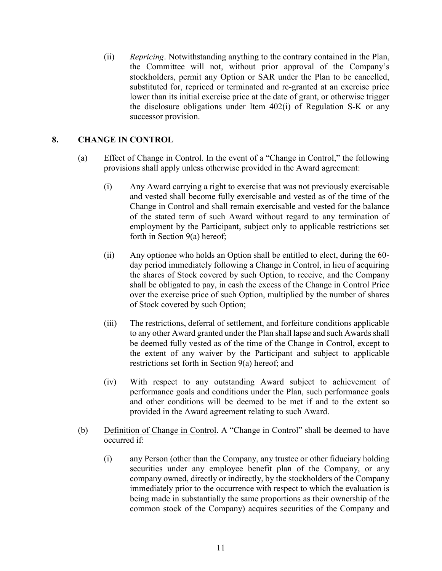(ii) Repricing. Notwithstanding anything to the contrary contained in the Plan, the Committee will not, without prior approval of the Company's stockholders, permit any Option or SAR under the Plan to be cancelled, substituted for, repriced or terminated and re-granted at an exercise price lower than its initial exercise price at the date of grant, or otherwise trigger the disclosure obligations under Item 402(i) of Regulation S-K or any successor provision.

# 8. CHANGE IN CONTROL

- (a) Effect of Change in Control. In the event of a "Change in Control," the following provisions shall apply unless otherwise provided in the Award agreement:
	- (i) Any Award carrying a right to exercise that was not previously exercisable and vested shall become fully exercisable and vested as of the time of the Change in Control and shall remain exercisable and vested for the balance of the stated term of such Award without regard to any termination of employment by the Participant, subject only to applicable restrictions set forth in Section 9(a) hereof;
	- (ii) Any optionee who holds an Option shall be entitled to elect, during the 60 day period immediately following a Change in Control, in lieu of acquiring the shares of Stock covered by such Option, to receive, and the Company shall be obligated to pay, in cash the excess of the Change in Control Price over the exercise price of such Option, multiplied by the number of shares of Stock covered by such Option;
	- (iii) The restrictions, deferral of settlement, and forfeiture conditions applicable to any other Award granted under the Plan shall lapse and such Awards shall be deemed fully vested as of the time of the Change in Control, except to the extent of any waiver by the Participant and subject to applicable restrictions set forth in Section 9(a) hereof; and
	- (iv) With respect to any outstanding Award subject to achievement of performance goals and conditions under the Plan, such performance goals and other conditions will be deemed to be met if and to the extent so provided in the Award agreement relating to such Award.
- (b) Definition of Change in Control. A "Change in Control" shall be deemed to have occurred if:
	- (i) any Person (other than the Company, any trustee or other fiduciary holding securities under any employee benefit plan of the Company, or any company owned, directly or indirectly, by the stockholders of the Company immediately prior to the occurrence with respect to which the evaluation is being made in substantially the same proportions as their ownership of the common stock of the Company) acquires securities of the Company and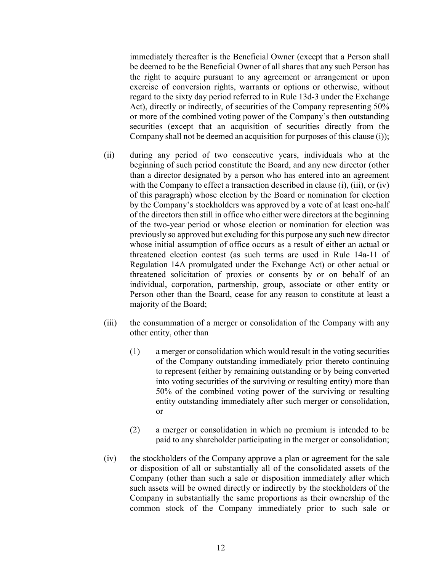immediately thereafter is the Beneficial Owner (except that a Person shall be deemed to be the Beneficial Owner of all shares that any such Person has the right to acquire pursuant to any agreement or arrangement or upon exercise of conversion rights, warrants or options or otherwise, without regard to the sixty day period referred to in Rule 13d-3 under the Exchange Act), directly or indirectly, of securities of the Company representing 50% or more of the combined voting power of the Company's then outstanding securities (except that an acquisition of securities directly from the Company shall not be deemed an acquisition for purposes of this clause (i));

- (ii) during any period of two consecutive years, individuals who at the beginning of such period constitute the Board, and any new director (other than a director designated by a person who has entered into an agreement with the Company to effect a transaction described in clause (i), (iii), or (iv) of this paragraph) whose election by the Board or nomination for election by the Company's stockholders was approved by a vote of at least one-half of the directors then still in office who either were directors at the beginning of the two-year period or whose election or nomination for election was previously so approved but excluding for this purpose any such new director whose initial assumption of office occurs as a result of either an actual or threatened election contest (as such terms are used in Rule 14a-11 of Regulation 14A promulgated under the Exchange Act) or other actual or threatened solicitation of proxies or consents by or on behalf of an individual, corporation, partnership, group, associate or other entity or Person other than the Board, cease for any reason to constitute at least a majority of the Board;
- (iii) the consummation of a merger or consolidation of the Company with any other entity, other than
	- (1) a merger or consolidation which would result in the voting securities of the Company outstanding immediately prior thereto continuing to represent (either by remaining outstanding or by being converted into voting securities of the surviving or resulting entity) more than 50% of the combined voting power of the surviving or resulting entity outstanding immediately after such merger or consolidation, or
	- (2) a merger or consolidation in which no premium is intended to be paid to any shareholder participating in the merger or consolidation;
- (iv) the stockholders of the Company approve a plan or agreement for the sale or disposition of all or substantially all of the consolidated assets of the Company (other than such a sale or disposition immediately after which such assets will be owned directly or indirectly by the stockholders of the Company in substantially the same proportions as their ownership of the common stock of the Company immediately prior to such sale or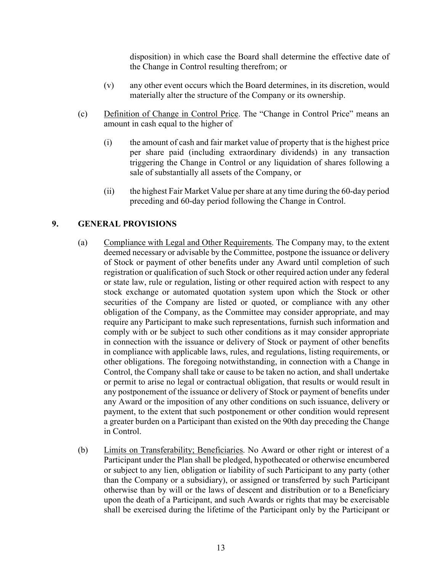disposition) in which case the Board shall determine the effective date of the Change in Control resulting therefrom; or

- (v) any other event occurs which the Board determines, in its discretion, would materially alter the structure of the Company or its ownership.
- (c) Definition of Change in Control Price. The "Change in Control Price" means an amount in cash equal to the higher of
	- (i) the amount of cash and fair market value of property that is the highest price per share paid (including extraordinary dividends) in any transaction triggering the Change in Control or any liquidation of shares following a sale of substantially all assets of the Company, or
	- (ii) the highest Fair Market Value per share at any time during the 60-day period preceding and 60-day period following the Change in Control.

# 9. GENERAL PROVISIONS

- (a) Compliance with Legal and Other Requirements. The Company may, to the extent deemed necessary or advisable by the Committee, postpone the issuance or delivery of Stock or payment of other benefits under any Award until completion of such registration or qualification of such Stock or other required action under any federal or state law, rule or regulation, listing or other required action with respect to any stock exchange or automated quotation system upon which the Stock or other securities of the Company are listed or quoted, or compliance with any other obligation of the Company, as the Committee may consider appropriate, and may require any Participant to make such representations, furnish such information and comply with or be subject to such other conditions as it may consider appropriate in connection with the issuance or delivery of Stock or payment of other benefits in compliance with applicable laws, rules, and regulations, listing requirements, or other obligations. The foregoing notwithstanding, in connection with a Change in Control, the Company shall take or cause to be taken no action, and shall undertake or permit to arise no legal or contractual obligation, that results or would result in any postponement of the issuance or delivery of Stock or payment of benefits under any Award or the imposition of any other conditions on such issuance, delivery or payment, to the extent that such postponement or other condition would represent a greater burden on a Participant than existed on the 90th day preceding the Change in Control.
- (b) Limits on Transferability; Beneficiaries. No Award or other right or interest of a Participant under the Plan shall be pledged, hypothecated or otherwise encumbered or subject to any lien, obligation or liability of such Participant to any party (other than the Company or a subsidiary), or assigned or transferred by such Participant otherwise than by will or the laws of descent and distribution or to a Beneficiary upon the death of a Participant, and such Awards or rights that may be exercisable shall be exercised during the lifetime of the Participant only by the Participant or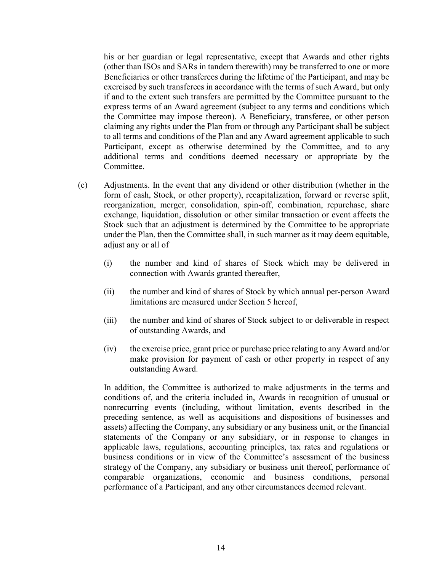his or her guardian or legal representative, except that Awards and other rights (other than ISOs and SARs in tandem therewith) may be transferred to one or more Beneficiaries or other transferees during the lifetime of the Participant, and may be exercised by such transferees in accordance with the terms of such Award, but only if and to the extent such transfers are permitted by the Committee pursuant to the express terms of an Award agreement (subject to any terms and conditions which the Committee may impose thereon). A Beneficiary, transferee, or other person claiming any rights under the Plan from or through any Participant shall be subject to all terms and conditions of the Plan and any Award agreement applicable to such Participant, except as otherwise determined by the Committee, and to any additional terms and conditions deemed necessary or appropriate by the Committee.

- (c) Adjustments. In the event that any dividend or other distribution (whether in the form of cash, Stock, or other property), recapitalization, forward or reverse split, reorganization, merger, consolidation, spin-off, combination, repurchase, share exchange, liquidation, dissolution or other similar transaction or event affects the Stock such that an adjustment is determined by the Committee to be appropriate under the Plan, then the Committee shall, in such manner as it may deem equitable, adjust any or all of
	- (i) the number and kind of shares of Stock which may be delivered in connection with Awards granted thereafter,
	- (ii) the number and kind of shares of Stock by which annual per-person Award limitations are measured under Section 5 hereof,
	- (iii) the number and kind of shares of Stock subject to or deliverable in respect of outstanding Awards, and
	- (iv) the exercise price, grant price or purchase price relating to any Award and/or make provision for payment of cash or other property in respect of any outstanding Award.

In addition, the Committee is authorized to make adjustments in the terms and conditions of, and the criteria included in, Awards in recognition of unusual or nonrecurring events (including, without limitation, events described in the preceding sentence, as well as acquisitions and dispositions of businesses and assets) affecting the Company, any subsidiary or any business unit, or the financial statements of the Company or any subsidiary, or in response to changes in applicable laws, regulations, accounting principles, tax rates and regulations or business conditions or in view of the Committee's assessment of the business strategy of the Company, any subsidiary or business unit thereof, performance of comparable organizations, economic and business conditions, personal performance of a Participant, and any other circumstances deemed relevant.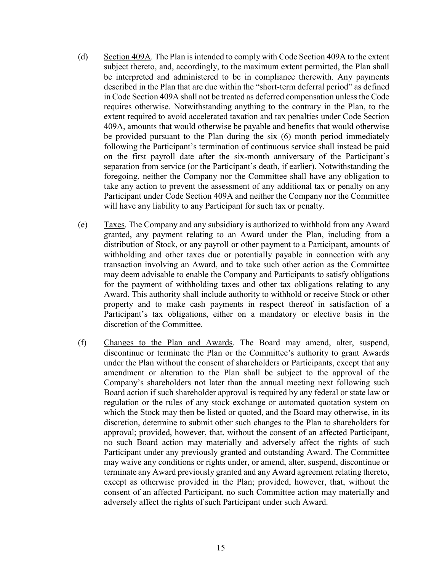- (d) Section 409A. The Plan is intended to comply with Code Section 409A to the extent subject thereto, and, accordingly, to the maximum extent permitted, the Plan shall be interpreted and administered to be in compliance therewith. Any payments described in the Plan that are due within the "short-term deferral period" as defined in Code Section 409A shall not be treated as deferred compensation unless the Code requires otherwise. Notwithstanding anything to the contrary in the Plan, to the extent required to avoid accelerated taxation and tax penalties under Code Section 409A, amounts that would otherwise be payable and benefits that would otherwise be provided pursuant to the Plan during the six (6) month period immediately following the Participant's termination of continuous service shall instead be paid on the first payroll date after the six-month anniversary of the Participant's separation from service (or the Participant's death, if earlier). Notwithstanding the foregoing, neither the Company nor the Committee shall have any obligation to take any action to prevent the assessment of any additional tax or penalty on any Participant under Code Section 409A and neither the Company nor the Committee will have any liability to any Participant for such tax or penalty.
- (e) Taxes. The Company and any subsidiary is authorized to withhold from any Award granted, any payment relating to an Award under the Plan, including from a distribution of Stock, or any payroll or other payment to a Participant, amounts of withholding and other taxes due or potentially payable in connection with any transaction involving an Award, and to take such other action as the Committee may deem advisable to enable the Company and Participants to satisfy obligations for the payment of withholding taxes and other tax obligations relating to any Award. This authority shall include authority to withhold or receive Stock or other property and to make cash payments in respect thereof in satisfaction of a Participant's tax obligations, either on a mandatory or elective basis in the discretion of the Committee.
- (f) Changes to the Plan and Awards. The Board may amend, alter, suspend, discontinue or terminate the Plan or the Committee's authority to grant Awards under the Plan without the consent of shareholders or Participants, except that any amendment or alteration to the Plan shall be subject to the approval of the Company's shareholders not later than the annual meeting next following such Board action if such shareholder approval is required by any federal or state law or regulation or the rules of any stock exchange or automated quotation system on which the Stock may then be listed or quoted, and the Board may otherwise, in its discretion, determine to submit other such changes to the Plan to shareholders for approval; provided, however, that, without the consent of an affected Participant, no such Board action may materially and adversely affect the rights of such Participant under any previously granted and outstanding Award. The Committee may waive any conditions or rights under, or amend, alter, suspend, discontinue or terminate any Award previously granted and any Award agreement relating thereto, except as otherwise provided in the Plan; provided, however, that, without the consent of an affected Participant, no such Committee action may materially and adversely affect the rights of such Participant under such Award.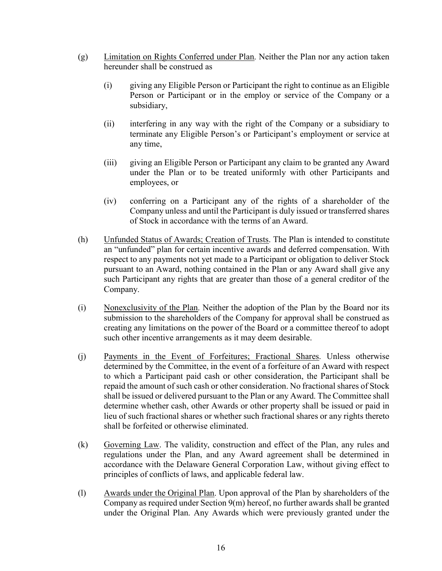- (g) Limitation on Rights Conferred under Plan. Neither the Plan nor any action taken hereunder shall be construed as
	- (i) giving any Eligible Person or Participant the right to continue as an Eligible Person or Participant or in the employ or service of the Company or a subsidiary,
	- (ii) interfering in any way with the right of the Company or a subsidiary to terminate any Eligible Person's or Participant's employment or service at any time,
	- (iii) giving an Eligible Person or Participant any claim to be granted any Award under the Plan or to be treated uniformly with other Participants and employees, or
	- (iv) conferring on a Participant any of the rights of a shareholder of the Company unless and until the Participant is duly issued or transferred shares of Stock in accordance with the terms of an Award.
- (h) Unfunded Status of Awards; Creation of Trusts. The Plan is intended to constitute an "unfunded" plan for certain incentive awards and deferred compensation. With respect to any payments not yet made to a Participant or obligation to deliver Stock pursuant to an Award, nothing contained in the Plan or any Award shall give any such Participant any rights that are greater than those of a general creditor of the Company.
- (i) Nonexclusivity of the Plan. Neither the adoption of the Plan by the Board nor its submission to the shareholders of the Company for approval shall be construed as creating any limitations on the power of the Board or a committee thereof to adopt such other incentive arrangements as it may deem desirable.
- (j) Payments in the Event of Forfeitures; Fractional Shares. Unless otherwise determined by the Committee, in the event of a forfeiture of an Award with respect to which a Participant paid cash or other consideration, the Participant shall be repaid the amount of such cash or other consideration. No fractional shares of Stock shall be issued or delivered pursuant to the Plan or any Award. The Committee shall determine whether cash, other Awards or other property shall be issued or paid in lieu of such fractional shares or whether such fractional shares or any rights thereto shall be forfeited or otherwise eliminated.
- (k) Governing Law. The validity, construction and effect of the Plan, any rules and regulations under the Plan, and any Award agreement shall be determined in accordance with the Delaware General Corporation Law, without giving effect to principles of conflicts of laws, and applicable federal law.
- (l) Awards under the Original Plan. Upon approval of the Plan by shareholders of the Company as required under Section 9(m) hereof, no further awards shall be granted under the Original Plan. Any Awards which were previously granted under the